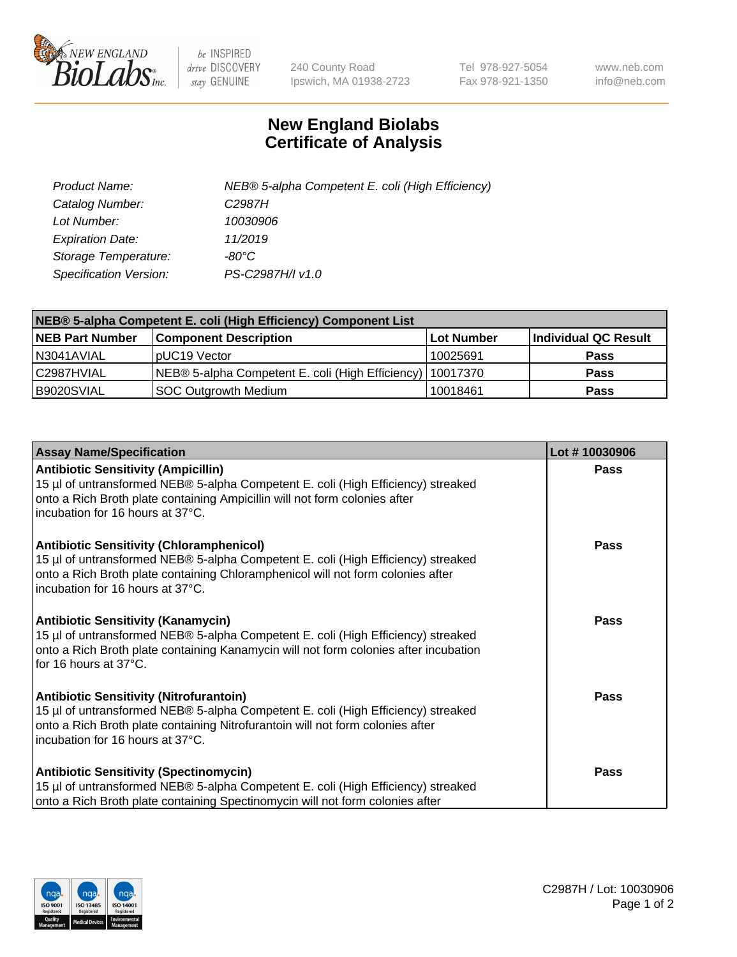

 $be$  INSPIRED drive DISCOVERY stay GENUINE

240 County Road Ipswich, MA 01938-2723 Tel 978-927-5054 Fax 978-921-1350 www.neb.com info@neb.com

## **New England Biolabs Certificate of Analysis**

| Product Name:           | NEB® 5-alpha Competent E. coli (High Efficiency) |
|-------------------------|--------------------------------------------------|
| Catalog Number:         | C <sub>2987</sub> H                              |
| Lot Number:             | 10030906                                         |
| <b>Expiration Date:</b> | 11/2019                                          |
| Storage Temperature:    | -80°C                                            |
| Specification Version:  | PS-C2987H/I v1.0                                 |

| NEB® 5-alpha Competent E. coli (High Efficiency) Component List |                                                             |            |                      |  |
|-----------------------------------------------------------------|-------------------------------------------------------------|------------|----------------------|--|
| <b>NEB Part Number</b>                                          | <b>Component Description</b>                                | Lot Number | Individual QC Result |  |
| N3041AVIAL                                                      | pUC19 Vector                                                | 10025691   | <b>Pass</b>          |  |
| C2987HVIAL                                                      | NEB® 5-alpha Competent E. coli (High Efficiency)   10017370 |            | <b>Pass</b>          |  |
| B9020SVIAL                                                      | <b>SOC Outgrowth Medium</b>                                 | 10018461   | <b>Pass</b>          |  |

| <b>Assay Name/Specification</b>                                                                                                                                                                                                                            | Lot #10030906 |
|------------------------------------------------------------------------------------------------------------------------------------------------------------------------------------------------------------------------------------------------------------|---------------|
| <b>Antibiotic Sensitivity (Ampicillin)</b><br>15 µl of untransformed NEB® 5-alpha Competent E. coli (High Efficiency) streaked<br>onto a Rich Broth plate containing Ampicillin will not form colonies after<br>incubation for 16 hours at 37°C.           | <b>Pass</b>   |
| <b>Antibiotic Sensitivity (Chloramphenicol)</b><br>15 µl of untransformed NEB® 5-alpha Competent E. coli (High Efficiency) streaked<br>onto a Rich Broth plate containing Chloramphenicol will not form colonies after<br>incubation for 16 hours at 37°C. | Pass          |
| Antibiotic Sensitivity (Kanamycin)<br>15 µl of untransformed NEB® 5-alpha Competent E. coli (High Efficiency) streaked<br>onto a Rich Broth plate containing Kanamycin will not form colonies after incubation<br>for 16 hours at 37°C.                    | Pass          |
| <b>Antibiotic Sensitivity (Nitrofurantoin)</b><br>15 µl of untransformed NEB® 5-alpha Competent E. coli (High Efficiency) streaked<br>onto a Rich Broth plate containing Nitrofurantoin will not form colonies after<br>incubation for 16 hours at 37°C.   | <b>Pass</b>   |
| <b>Antibiotic Sensitivity (Spectinomycin)</b><br>15 µl of untransformed NEB® 5-alpha Competent E. coli (High Efficiency) streaked<br>onto a Rich Broth plate containing Spectinomycin will not form colonies after                                         | Pass          |